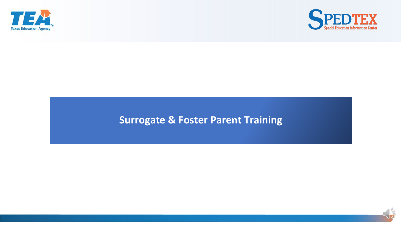



#### **Surrogate & Foster Parent Training**

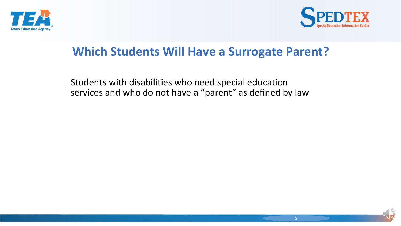



#### **Which Students Will Have a Surrogate Parent?**

Students with disabilities who need special education services and who do not have a "parent" as defined by law

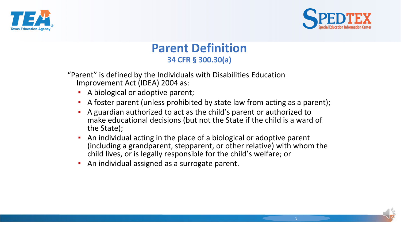



#### **Parent Definition 34 CFR § 300.30(a)**

"Parent" is defined by the Individuals with Disabilities Education Improvement Act (IDEA) 2004 as:

- A biological or adoptive parent;
- A foster parent (unless prohibited by state law from acting as a parent);
- A guardian authorized to act as the child's parent or authorized to make educational decisions (but not the State if the child is a ward of the State);
- An individual acting in the place of a biological or adoptive parent (including a grandparent, stepparent, or other relative) with whom the child lives, or is legally responsible for the child's welfare; or
- An individual assigned as a surrogate parent.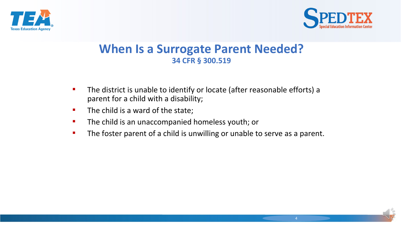



#### **When Is a Surrogate Parent Needed? 34 CFR § 300.519**

- The district is unable to identify or locate (after reasonable efforts) a parent for a child with a disability;
- The child is a ward of the state;
- **•** The child is an unaccompanied homeless youth; or
- The foster parent of a child is unwilling or unable to serve as a parent.

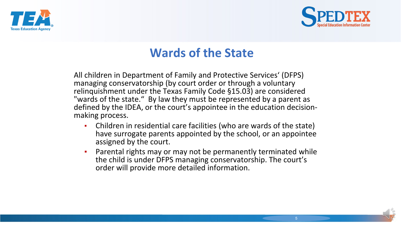



## **Wards of the State**

All children in Department of Family and Protective Services' (DFPS) managing conservatorship (by court order or through a voluntary relinquishment under the Texas Family Code §15.03) are considered "wards of the state." By law they must be represented by a parent as defined by the IDEA, or the court's appointee in the education decision- making process.

- Children in residential care facilities (who are wards of the state) have surrogate parents appointed by the school, or an appointee assigned by the court.
- **•** Parental rights may or may not be permanently terminated while the child is under DFPS managing conservatorship. The court's order will provide more detailed information.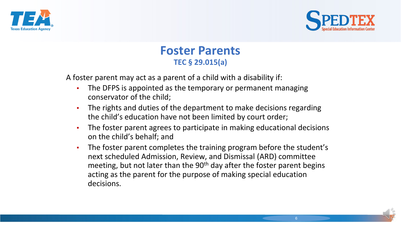



#### **Foster Parents TEC § 29.015(a)**

A foster parent may act as a parent of a child with a disability if:

- **The DFPS is appointed as the temporary or permanent managing** conservator of the child;
- **The rights and duties of the department to make decisions regarding** the child's education have not been limited by court order;
- **•** The foster parent agrees to participate in making educational decisions on the child's behalf; and
- The foster parent completes the training program before the student's next scheduled Admission, Review, and Dismissal (ARD) committee meeting, but not later than the 90<sup>th</sup> day after the foster parent begins acting as the parent for the purpose of making special education decisions.

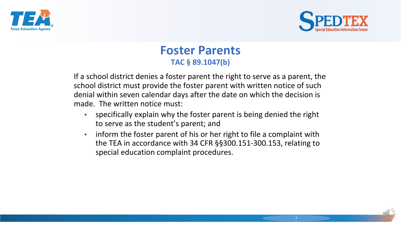



#### **Foster Parents TAC § 89.1047(b)**

If a school district denies a foster parent the right to serve as a parent, the school district must provide the foster parent with written notice of such denial within seven calendar days after the date on which the decision is made. The written notice must:

- specifically explain why the foster parent is being denied the right to serve as the student's parent; and
- inform the foster parent of his or her right to file a complaint with the TEA in accordance with 34 CFR §§300.151-300.153, relating to special education complaint procedures.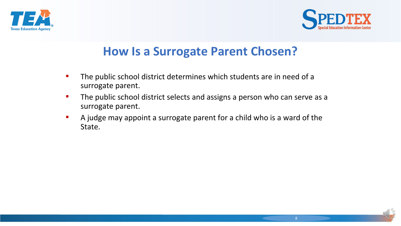



## **How Is a Surrogate Parent Chosen?**

- **The public school district determines which students are in need of a** surrogate parent.
- **The public school district selects and assigns a person who can serve as a** surrogate parent.
- A judge may appoint a surrogate parent for a child who is a ward of the State.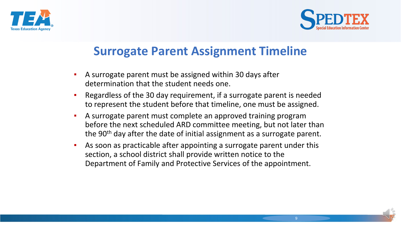



# **Surrogate Parent Assignment Timeline**

- A surrogate parent must be assigned within 30 days after determination that the student needs one.
- Regardless of the 30 day requirement, if a surrogate parent is needed to represent the student before that timeline, one must be assigned.
- A surrogate parent must complete an approved training program before the next scheduled ARD committee meeting, but not later than the 90<sup>th</sup> day after the date of initial assignment as a surrogate parent.
- As soon as practicable after appointing a surrogate parent under this section, a school district shall provide written notice to the Department of Family and Protective Services of the appointment.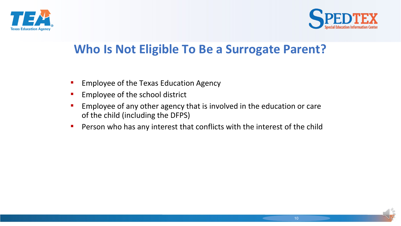



# **Who Is Not Eligible To Be a Surrogate Parent?**

- **Employee of the Texas Education Agency**
- **Employee of the school district**
- **Employee of any other agency that is involved in the education or care** of the child (including the DFPS)
- **•** Person who has any interest that conflicts with the interest of the child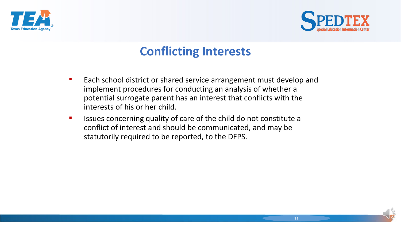



# **Conflicting Interests**

- Each school district or shared service arrangement must develop and implement procedures for conducting an analysis of whether a potential surrogate parent has an interest that conflicts with the interests of his or her child.
- Issues concerning quality of care of the child do not constitute a conflict of interest and should be communicated, and may be statutorily required to be reported, to the DFPS.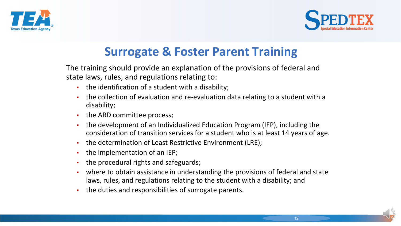



# **Surrogate & Foster Parent Training**

The training should provide an explanation of the provisions of federal and state laws, rules, and regulations relating to:

- the identification of a student with a disability;
- the collection of evaluation and re-evaluation data relating to a student with a disability;
- the ARD committee process;
- the development of an Individualized Education Program (IEP), including the consideration of transition services for a student who is at least 14 years of age.
- . the determination of Least Restrictive Environment (LRE);
- the implementation of an IEP;
- the procedural rights and safeguards;
- where to obtain assistance in understanding the provisions of federal and state laws, rules, and regulations relating to the student with a disability; and
- the duties and responsibilities of surrogate parents.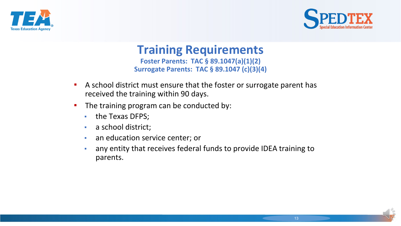



#### **Training Requirements Foster Parents: TAC § 89.1047(a)(1)(2) Surrogate Parents: TAC § 89.1047 (c)(3)(4)**

- A school district must ensure that the foster or surrogate parent has received the training within 90 days.
- **•** The training program can be conducted by:
	- the Texas DFPS;
	- **a** school district;
	- **an education service center; or**
	- **EXEDENT And THE 19 and The Startup Term** any entity that receives federal funds to provide IDEA training to parents.

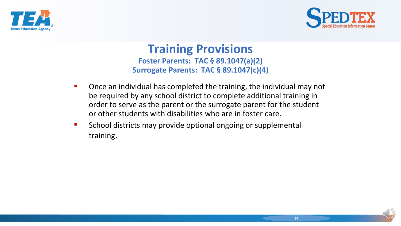



#### **Training Provisions Foster Parents: TAC § 89.1047(a)(2) Surrogate Parents: TAC § 89.1047(c)(4)**

- Once an individual has completed the training, the individual may not be required by any school district to complete additional training in order to serve as the parent or the surrogate parent for the student or other students with disabilities who are in foster care.
- School districts may provide optional ongoing or supplemental training.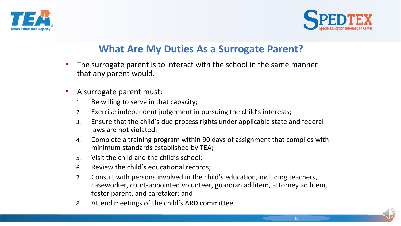



#### **What Are My Duties As a Surrogate Parent?**

- The surrogate parent is to interact with the school in the same manner that any parent would.
- A surrogate parent must:
	- 1. Be willing to serve in that capacity;
	- 2. Exercise independent judgement in pursuing the child's interests;
	- 3. Ensure that the child's due process rights under applicable state and federal laws are not violated;
	- 4. Complete a training program within 90 days of assignment that complies with minimum standards established by TEA;
	- 5. Visit the child and the child's school;
	- 6. Review the child's educational records;
	- 7. Consult with persons involved in the child's education, including teachers, caseworker, court-appointed volunteer, guardian ad litem, attorney ad litem, foster parent, and caretaker; and
	- 8. Attend meetings of the child's ARD committee.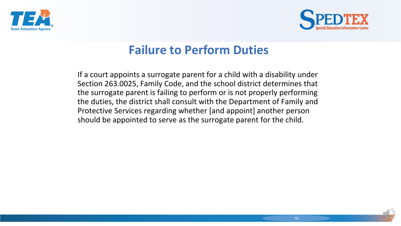



# **Failure to Perform Duties**

If a court appoints a surrogate parent for a child with a disability under Section 263.0025, Family Code, and the school district determines that the surrogate parent is failing to perform or is not properly performing the duties, the district shall consult with the Department of Family and Protective Services regarding whether [and appoint] another person should be appointed to serve as the surrogate parent for the child.

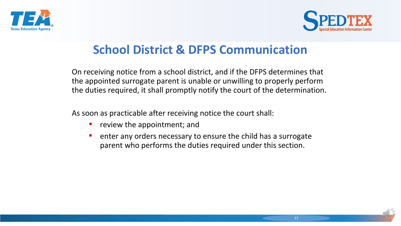



# **School District & DFPS Communication**

On receiving notice from a school district, and if the DFPS determines that the appointed surrogate parent is unable or unwilling to properly perform the duties required, it shall promptly notify the court of the determination.

As soon as practicable after receiving notice the court shall:

- **•** review the appointment; and
- enter any orders necessary to ensure the child has a surrogate parent who performs the duties required under this section.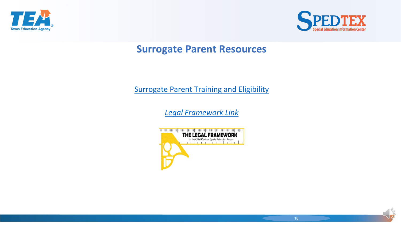



#### **Surrogate Parent Resources**

#### [Surrogate Parent Training and Eligibility](http://framework.esc18.net/display/Webforms/ESC18-FW-Summary.aspx?FID=123&DT=G&LD=en)

*[Legal Framework](http://framework.esc18.net/display/Webforms/%20ESC18-FW-Summary.aspx?FID=123&DT=G&LD=en) [Link](http://framework.esc18.net/display/Webforms/%20ESC18-FW-Summary.aspx?FID=123&DT=G&LD=en)*

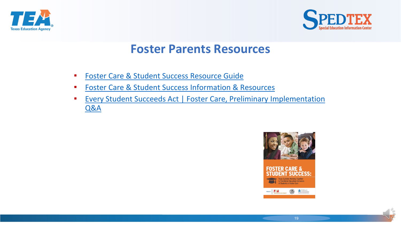



#### **Foster Parents Resources**

- [Foster Care & Student Success Resource Guide](http://tea.texas.gov/FosterCareStudentSuccess/resource-guide.pdf)
- [Foster Care & Student Success Information & Resources](http://tea.texas.gov/FosterCareStudentSuccess/Resources/)
- **EVERY Student Succeeds Act | Foster Care, Preliminary Implementation** Q&A

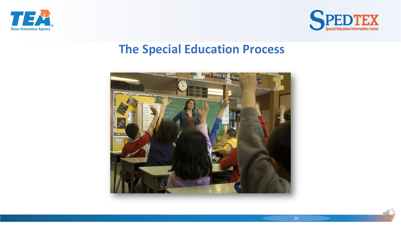



#### **The Special Education Process**

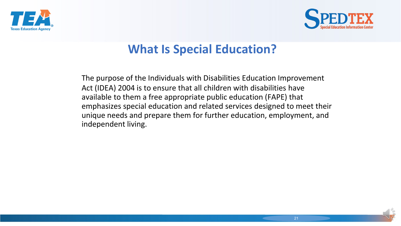



# **What Is Special Education?**

The purpose of the Individuals with Disabilities Education Improvement Act (IDEA) 2004 is to ensure that all children with disabilities have available to them a free appropriate public education (FAPE) that emphasizes special education and related services designed to meet their unique needs and prepare them for further education, employment, and independent living.

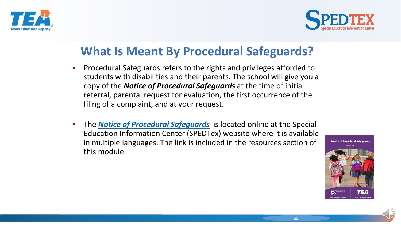



# **What Is Meant By Procedural Safeguards?**

- **•** Procedural Safeguards refers to the rights and privileges afforded to students with disabilities and their parents. The school will give you a copy of the *Notice of Procedural Safeguards* at the time of initial referral, parental request for evaluation, the first occurrence of the filing of a complaint, and at your request.
- The *Notice of Procedural Safeguards* is located online at the Special Education Information Center (SPEDTex) website where it is available in multiple languages. The link is included in the resources section of this module.

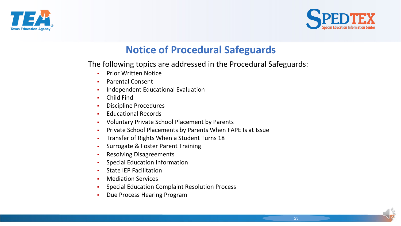



#### **Notice of Procedural Safeguards**

The following topics are addressed in the Procedural Safeguards:

- Prior Written Notice
- Parental Consent
- Independent Educational Evaluation
- **Child Find**
- **Discipline Procedures**
- **Educational Records**
- Voluntary Private School Placement by Parents
- Private School Placements by Parents When FAPE Is at Issue
- Transfer of Rights When a Student Turns 18
- Surrogate & Foster Parent Training
- **Resolving Disagreements**
- **Special Education Information**
- **State IEP Facilitation**
- Mediation Services
- Special Education Complaint Resolution Process
- Due Process Hearing Program

23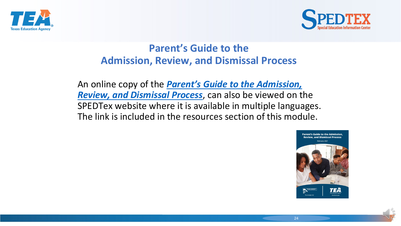



#### **Parent's Guide to the Admission, Review, and Dismissal Process**

An online copy of the *[Parent's Guide to the Admission,](https://www.spedtex.org/index.cfm/parent-resources/parents-guide-to-the-ard-process/) Review, and Dismissal Process*, can also be viewed on the SPEDTex website where it is available in multiple languages. The link is included in the resources section of this module.

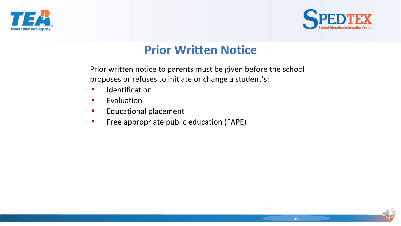



# **Prior Written Notice**

Prior written notice to parents must be given before the school proposes or refuses to initiate or change a student's:

- Identification
- Evaluation
- **E** Educational placement
- **•** Free appropriate public education (FAPE)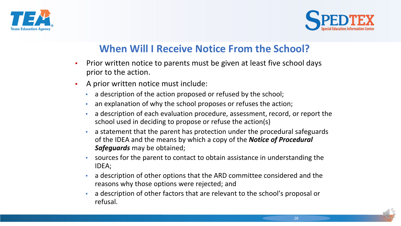



#### **When Will I Receive Notice From the School?**

- Prior written notice to parents must be given at least five school days prior to the action.
- A prior written notice must include:
	- a description of the action proposed or refused by the school;
	- an explanation of why the school proposes or refuses the action;
	- a description of each evaluation procedure, assessment, record, or report the school used in deciding to propose or refuse the action(s)
	- a statement that the parent has protection under the procedural safeguards of the IDEA and the means by which a copy of the *Notice of Procedural Safeguards* may be obtained;
	- sources for the parent to contact to obtain assistance in understanding the IDEA;
	- a description of other options that the ARD committee considered and the reasons why those options were rejected; and
	- a description of other factors that are relevant to the school's proposal or refusal.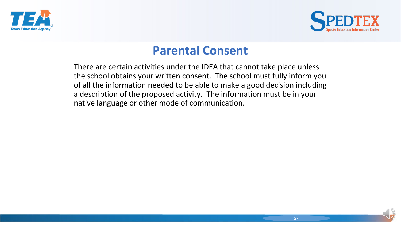



#### **Parental Consent**

There are certain activities under the IDEA that cannot take place unless the school obtains your written consent. The school must fully inform you of all the information needed to be able to make a good decision including a description of the proposed activity. The information must be in your native language or other mode of communication.

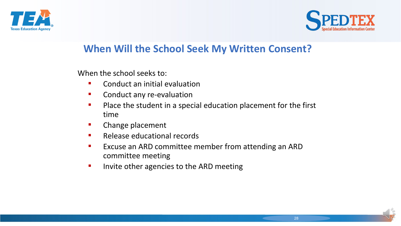



#### **When Will the School Seek My Written Consent?**

When the school seeks to:

- Conduct an initial evaluation
- **E** Conduct any re-evaluation
- Place the student in a special education placement for the first time
- **E** Change placement
- Release educational records
- **EXCUSE AND COMMITTEE MEMBER FROM ATTER ARD FIGURE 10 FEATH COMMON FIGURE 10 FEATH COMMON FIGURE 10 FEATH COMMON FIGURE 2015** committee meeting
- **Invite other agencies to the ARD meeting**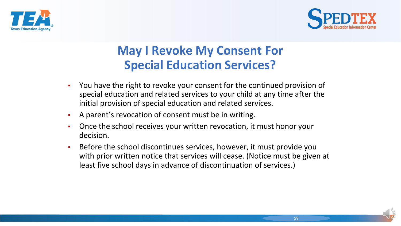



# **May I Revoke My Consent For Special Education Services?**

- You have the right to revoke your consent for the continued provision of special education and related services to your child at any time after the initial provision of special education and related services.
- A parent's revocation of consent must be in writing.
- Once the school receives your written revocation, it must honor your decision.
- Before the school discontinues services, however, it must provide you with prior written notice that services will cease. (Notice must be given at least five school days in advance of discontinuation of services.)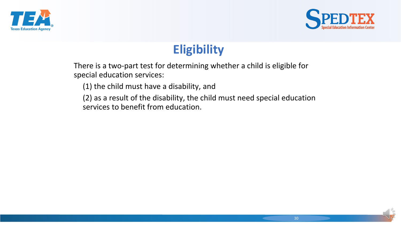



# **Eligibility**

There is a two-part test for determining whether a child is eligible for special education services:

(1) the child must have a disability, and

(2) as a result of the disability, the child must need special education services to benefit from education.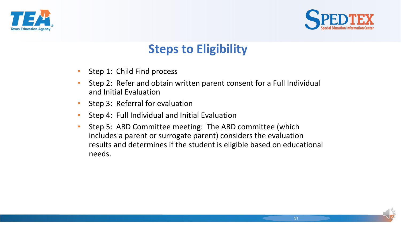



# **Steps to Eligibility**

- Step 1: Child Find process
- Step 2: Refer and obtain written parent consent for a Full Individual and Initial Evaluation
- Step 3: Referral for evaluation
- Step 4: Full Individual and Initial Evaluation
- Step 5: ARD Committee meeting: The ARD committee (which includes a parent or surrogate parent) considers the evaluation results and determines if the student is eligible based on educational needs.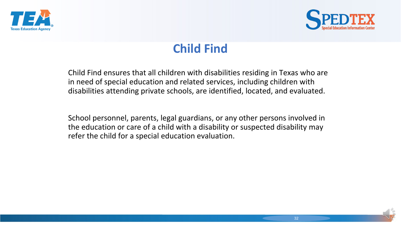



# **Child Find**

Child Find ensures that all children with disabilities residing in Texas who are in need of special education and related services, including children with disabilities attending private schools, are identified, located, and evaluated.

School personnel, parents, legal guardians, or any other persons involved in the education or care of a child with a disability or suspected disability may refer the child for a special education evaluation.

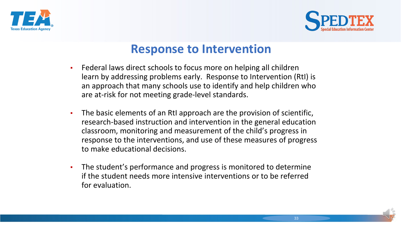



#### **Response to Intervention**

- **EXECT** Federal laws direct schools to focus more on helping all children learn by addressing problems early. Response to Intervention (RtI) is an approach that many schools use to identify and help children who are at-risk for not meeting grade-level standards.
- **•** The basic elements of an RtI approach are the provision of scientific, research-based instruction and intervention in the general education classroom, monitoring and measurement of the child's progress in response to the interventions, and use of these measures of progress to make educational decisions.
- **•** The student's performance and progress is monitored to determine if the student needs more intensive interventions or to be referred for evaluation.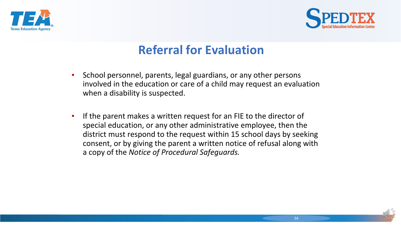



# **Referral for Evaluation**

- **EXP** School personnel, parents, legal guardians, or any other persons involved in the education or care of a child may request an evaluation when a disability is suspected.
- **.** If the parent makes a written request for an FIE to the director of special education, or any other administrative employee, then the district must respond to the request within 15 school days by seeking consent, or by giving the parent a written notice of refusal along with a copy of the *Notice of Procedural Safeguards.*

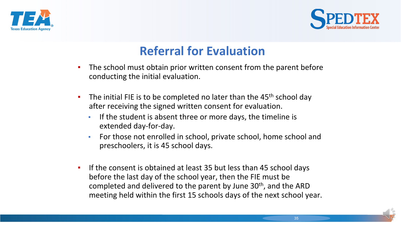



# **Referral for Evaluation**

- **•** The school must obtain prior written consent from the parent before conducting the initial evaluation.
- **•** The initial FIE is to be completed no later than the  $45<sup>th</sup>$  school day after receiving the signed written consent for evaluation.
	- **•** If the student is absent three or more days, the timeline is extended day-for-day.
	- For those not enrolled in school, private school, home school and preschoolers, it is 45 school days.
- **•** If the consent is obtained at least 35 but less than 45 school days before the last day of the school year, then the FIE must be completed and delivered to the parent by June 30<sup>th</sup>, and the ARD meeting held within the first 15 schools days of the next school year.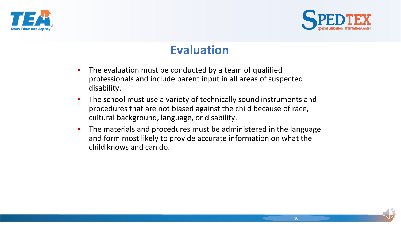



# **Evaluation**

- **•** The evaluation must be conducted by a team of qualified professionals and include parent input in all areas of suspected disability.
- **.** The school must use a variety of technically sound instruments and procedures that are not biased against the child because of race, cultural background, language, or disability.
- **•** The materials and procedures must be administered in the language and form most likely to provide accurate information on what the child knows and can do.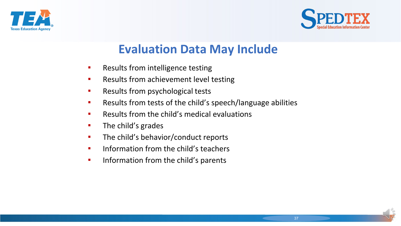



## **Evaluation Data May Include**

- **EXEC** Results from intelligence testing
- **EXEC** Results from achievement level testing
- **EXEC** Results from psychological tests
- Results from tests of the child's speech/language abilities
- Results from the child's medical evaluations
- The child's grades
- **•** The child's behavior/conduct reports
- **•** Information from the child's teachers
- **·** Information from the child's parents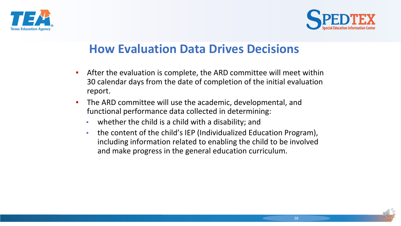



### **How Evaluation Data Drives Decisions**

- **EXTER** After the evaluation is complete, the ARD committee will meet within 30 calendar days from the date of completion of the initial evaluation report.
- The ARD committee will use the academic, developmental, and functional performance data collected in determining:
	- whether the child is a child with a disability; and
	- the content of the child's IEP (Individualized Education Program), including information related to enabling the child to be involved and make progress in the general education curriculum.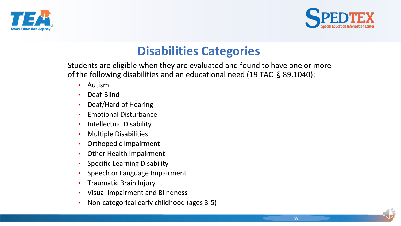



## **Disabilities Categories**

Students are eligible when they are evaluated and found to have one or more of the following disabilities and an educational need (19 TAC § 89.1040):

- **•** Autism
- Deaf-Blind
- Deaf/Hard of Hearing
- **Emotional Disturbance**
- **Intellectual Disability**
- Multiple Disabilities
- Orthopedic Impairment
- Other Health Impairment
- Specific Learning Disability
- Speech or Language Impairment
- **Traumatic Brain Injury**
- Visual Impairment and Blindness
- Non-categorical early childhood (ages 3-5)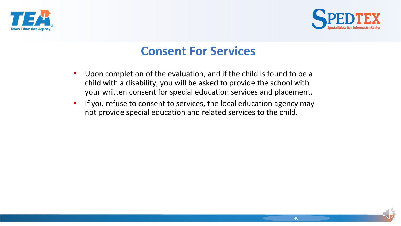



### **Consent For Services**

- Upon completion of the evaluation, and if the child is found to be a child with a disability, you will be asked to provide the school with your written consent for special education services and placement.
- **.** If you refuse to consent to services, the local education agency may not provide special education and related services to the child.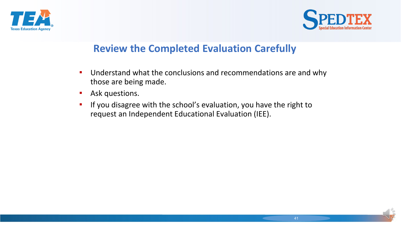



#### **Review the Completed Evaluation Carefully**

- Understand what the conclusions and recommendations are and why those are being made.
- **E** Ask questions.
- **EXT** If you disagree with the school's evaluation, you have the right to request an Independent Educational Evaluation (IEE).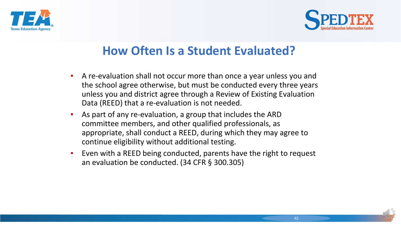



# **How Often Is a Student Evaluated?**

- A re-evaluation shall not occur more than once a year unless you and the school agree otherwise, but must be conducted every three years unless you and district agree through a Review of Existing Evaluation Data (REED) that a re-evaluation is not needed.
- As part of any re-evaluation, a group that includes the ARD committee members, and other qualified professionals, as appropriate, shall conduct a REED, during which they may agree to continue eligibility without additional testing.
- Even with a REED being conducted, parents have the right to request an evaluation be conducted. (34 CFR § 300.305)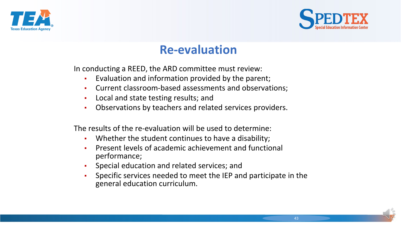



### **Re-evaluation**

In conducting a REED, the ARD committee must review:

- Evaluation and information provided by the parent;
- Current classroom-based assessments and observations;
- Local and state testing results; and
- Observations by teachers and related services providers.

The results of the re-evaluation will be used to determine:

- Whether the student continues to have a disability;
- Present levels of academic achievement and functional performance;
- Special education and related services; and
- Specific services needed to meet the IEP and participate in the general education curriculum.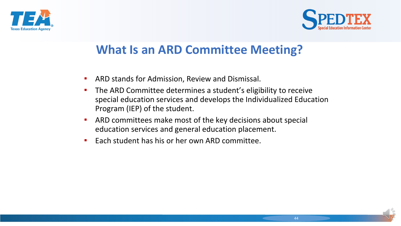



### **What Is an ARD Committee Meeting?**

- ARD stands for Admission, Review and Dismissal.
- **The ARD Committee determines a student's eligibility to receive** special education services and develops the Individualized Education Program (IEP) of the student.
- **EXTERGHT ARD committees make most of the key decisions about special** education services and general education placement.
- Each student has his or her own ARD committee.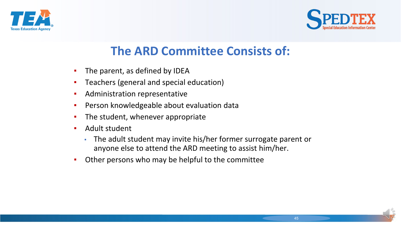



# **The ARD Committee Consists of:**

- The parent, as defined by IDEA
- Teachers (general and special education)
- Administration representative
- Person knowledgeable about evaluation data
- The student, whenever appropriate
- Adult student
	- The adult student may invite his/her former surrogate parent or anyone else to attend the ARD meeting to assist him/her.
- Other persons who may be helpful to the committee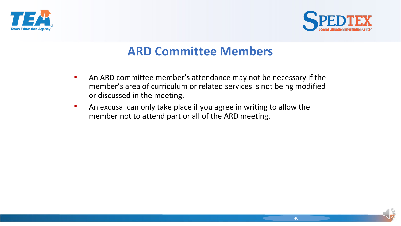



### **ARD Committee Members**

- An ARD committee member's attendance may not be necessary if the member's area of curriculum or related services is not being modified or discussed in the meeting.
- An excusal can only take place if you agree in writing to allow the member not to attend part or all of the ARD meeting.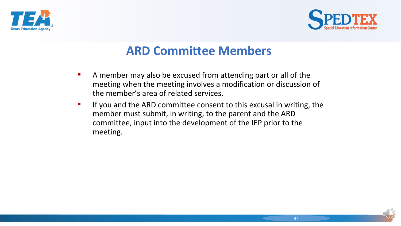



### **ARD Committee Members**

- A member may also be excused from attending part or all of the meeting when the meeting involves a modification or discussion of the member's area of related services.
- **EXTED IF YOU ARD FOREY COMMITTEE CONSET AT ARTLE IS EXAMORE IT IS EXCUSSED** In writing, the member must submit, in writing, to the parent and the ARD committee, input into the development of the IEP prior to the meeting.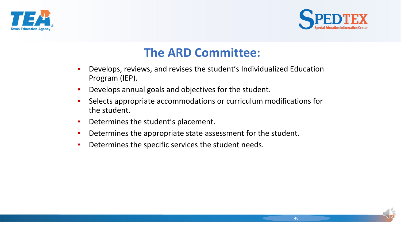



### **The ARD Committee:**

- Develops, reviews, and revises the student's Individualized Education Program (IEP).
- **•** Develops annual goals and objectives for the student.
- **EXEDENT Selects appropriate accommodations or curriculum modifications for** the student.
- **•** Determines the student's placement.
- **Determines the appropriate state assessment for the student.**
- Determines the specific services the student needs.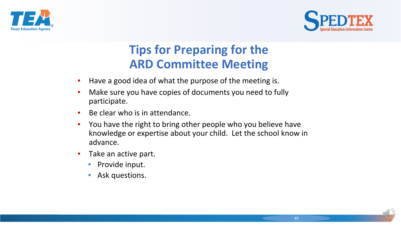



# **Tips for Preparing for the ARD Committee Meeting**

- **.** Have a good idea of what the purpose of the meeting is.
- **EXP** Make sure you have copies of documents you need to fully participate.
- Be clear who is in attendance.
- You have the right to bring other people who you believe have knowledge or expertise about your child. Let the school know in advance.
- Take an active part.
	- **Provide input.**
	- **E** Ask questions.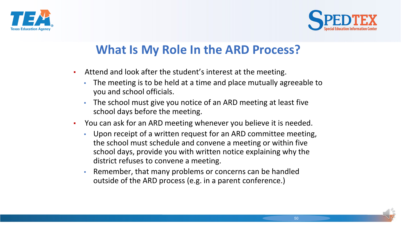



# **What Is My Role In the ARD Process?**

- Attend and look after the student's interest at the meeting.
	- The meeting is to be held at a time and place mutually agreeable to you and school officials.
	- The school must give you notice of an ARD meeting at least five school days before the meeting.
- You can ask for an ARD meeting whenever you believe it is needed.
	- Upon receipt of a written request for an ARD committee meeting, the school must schedule and convene a meeting or within five school days, provide you with written notice explaining why the district refuses to convene a meeting.
	- Remember, that many problems or concerns can be handled outside of the ARD process (e.g. in a parent conference.)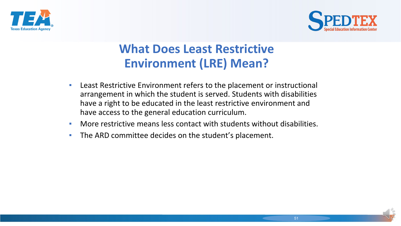



# **What Does Least Restrictive Environment (LRE) Mean?**

- Least Restrictive Environment refers to the placement or instructional arrangement in which the student is served. Students with disabilities have a right to be educated in the least restrictive environment and have access to the general education curriculum.
- More restrictive means less contact with students without disabilities.
- The ARD committee decides on the student's placement.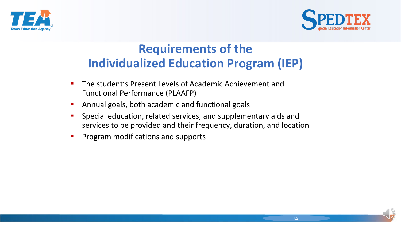



### **Requirements of the Individualized Education Program (IEP)**

- The student's Present Levels of Academic Achievement and Functional Performance (PLAAFP)
- **E** Annual goals, both academic and functional goals
- **E** Special education, related services, and supplementary aids and services to be provided and their frequency, duration, and location
- **•** Program modifications and supports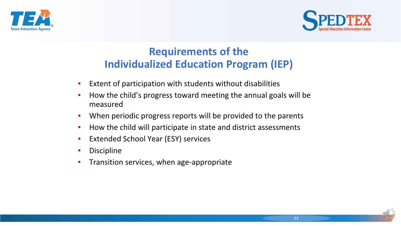



### **Requirements of the Individualized Education Program (IEP)**

- Extent of participation with students without disabilities
- How the child's progress toward meeting the annual goals will be measured
- When periodic progress reports will be provided to the parents
- How the child will participate in state and district assessments
- **Extended School Year (ESY) services**
- Discipline
- **•** Transition services, when age-appropriate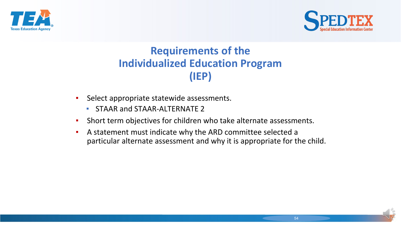



### **Requirements of the Individualized Education Program (IEP)**

- Select appropriate statewide assessments.
	- **EXECUTE: STAAR and STAAR-ALTERNATE 2**
- **EXEDENT Short term objectives for children who take alternate assessments.**
- A statement must indicate why the ARD committee selected a particular alternate assessment and why it is appropriate for the child.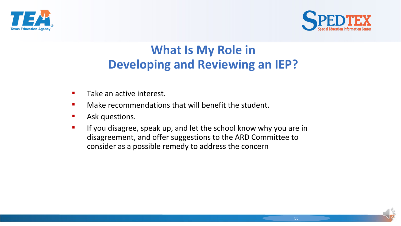



# **What Is My Role in Developing and Reviewing an IEP?**

- Take an active interest.
- **■** Make recommendations that will benefit the student.
- **E** Ask questions.
- **EXT** If you disagree, speak up, and let the school know why you are in disagreement, and offer suggestions to the ARD Committee to consider as a possible remedy to address the concern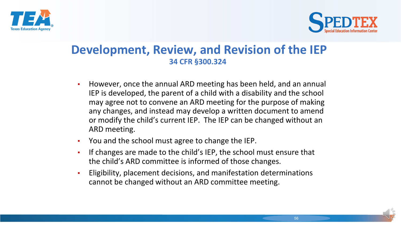



#### **Development, Review, and Revision of the IEP 34 CFR §300.324**

- However, once the annual ARD meeting has been held, and an annual IEP is developed, the parent of a child with a disability and the school may agree not to convene an ARD meeting for the purpose of making any changes, and instead may develop a written document to amend or modify the child's current IEP. The IEP can be changed without an ARD meeting.
- You and the school must agree to change the IEP.
- If changes are made to the child's IEP, the school must ensure that the child's ARD committee is informed of those changes.
- Eligibility, placement decisions, and manifestation determinations cannot be changed without an ARD committee meeting.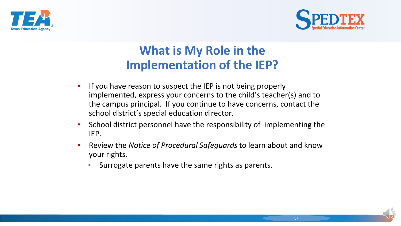



# **What is My Role in the Implementation of the IEP?**

- If you have reason to suspect the IEP is not being properly implemented, express your concerns to the child's teacher(s) and to the campus principal. If you continue to have concerns, contact the school district's special education director.
- School district personnel have the responsibility of implementing the IEP.
- Review the *Notice of Procedural Safeguards* to learn about and know your rights.
	- **EXE** Surrogate parents have the same rights as parents.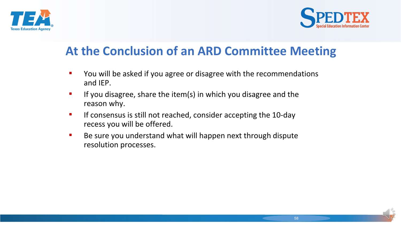



# **At the Conclusion of an ARD Committee Meeting**

- You will be asked if you agree or disagree with the recommendations and IEP.
- If you disagree, share the item(s) in which you disagree and the reason why.
- **EXTED IF CONSET IS 19 IS STARK IS STARK IS SET IS SET IS EXE** ISLEMING ISLEMINGTRY IF A 10-day recess you will be offered.
- Be sure you understand what will happen next through dispute resolution processes.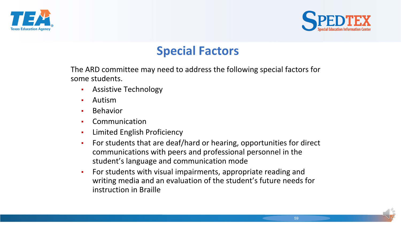



# **Special Factors**

The ARD committee may need to address the following special factors for some students.

- **•** Assistive Technology
- Autism
- Behavior
- Communication
- **•** Limited English Proficiency
- For students that are deaf/hard or hearing, opportunities for direct communications with peers and professional personnel in the student's language and communication mode
- For students with visual impairments, appropriate reading and writing media and an evaluation of the student's future needs for instruction in Braille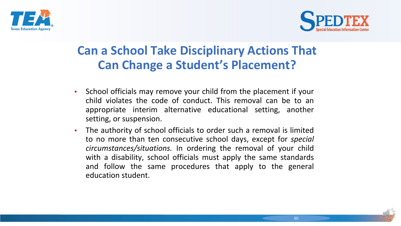



# **Can a School Take Disciplinary Actions That Can Change a Student's Placement?**

- School officials may remove your child from the placement if your child violates the code of conduct. This removal can be to an appropriate interim alternative educational setting, another setting, or suspension.
- The authority of school officials to order such a removal is limited to no more than ten consecutive school days, except for *special circumstances/situations.* In ordering the removal of your child with a disability, school officials must apply the same standards and follow the same procedures that apply to the general education student.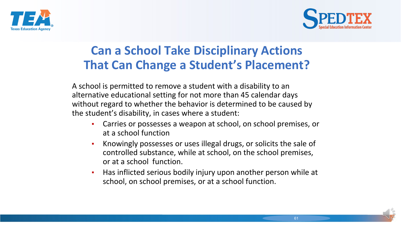



# **Can a School Take Disciplinary Actions That Can Change a Student's Placement?**

A school is permitted to remove a student with a disability to an alternative educational setting for not more than 45 calendar days without regard to whether the behavior is determined to be caused by the student's disability, in cases where a student:

- Carries or possesses a weapon at school, on school premises, or at a school function
- Knowingly possesses or uses illegal drugs, or solicits the sale of controlled substance, while at school, on the school premises, or at a school function.
- Has inflicted serious bodily injury upon another person while at school, on school premises, or at a school function.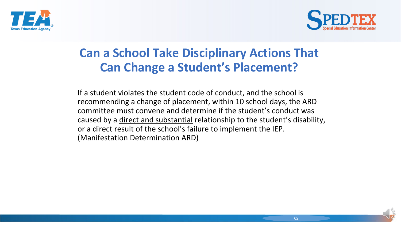



## **Can a School Take Disciplinary Actions That Can Change a Student's Placement?**

If a student violates the student code of conduct, and the school is recommending a change of placement, within 10 school days, the ARD committee must convene and determine if the student's conduct was caused by a direct and substantial relationship to the student's disability, or a direct result of the school's failure to implement the IEP. (Manifestation Determination ARD)

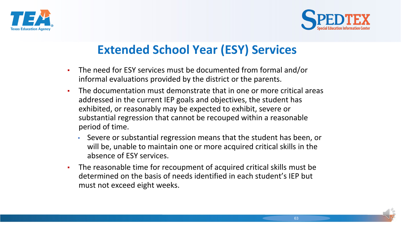



# **Extended School Year (ESY) Services**

- The need for ESY services must be documented from formal and/or informal evaluations provided by the district or the parents.
- The documentation must demonstrate that in one or more critical areas addressed in the current IEP goals and objectives, the student has exhibited, or reasonably may be expected to exhibit, severe or substantial regression that cannot be recouped within a reasonable period of time.
	- Severe or substantial regression means that the student has been, or will be, unable to maintain one or more acquired critical skills in the absence of ESY services.
- The reasonable time for recoupment of acquired critical skills must be determined on the basis of needs identified in each student's IEP but must not exceed eight weeks.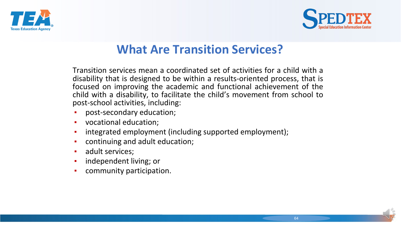



# **What Are Transition Services?**

Transition services mean a coordinated set of activities for a child with a disability that is designed to be within a results-oriented process, that is focused on improving the academic and functional achievement of the child with a disability, to facilitate the child's movement from school to post-school activities, including:

- post-secondary education;
- vocational education;
- integrated employment (including supported employment);
- continuing and adult education;
- adult services;
- independent living; or
- community participation.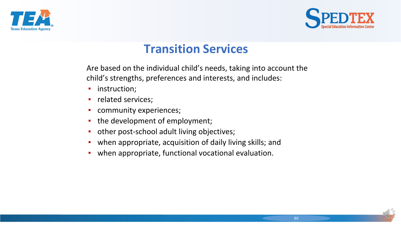



### **Transition Services**

Are based on the individual child's needs, taking into account the child's strengths, preferences and interests, and includes:

- **·** instruction;
- **·** related services;
- community experiences;
- the development of employment;
- **•** other post-school adult living objectives;
- **•** when appropriate, acquisition of daily living skills; and
- **•** when appropriate, functional vocational evaluation.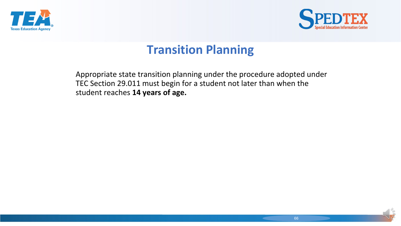



# **Transition Planning**

Appropriate state transition planning under the procedure adopted under TEC Section 29.011 must begin for a student not later than when the student reaches **14 years of age.**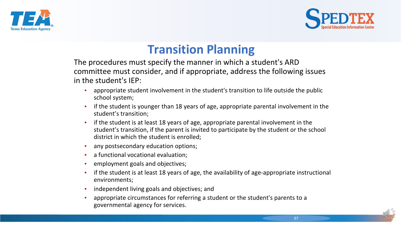



## **Transition Planning**

The procedures must specify the manner in which a student's ARD committee must consider, and if appropriate, address the following issues in the student's IEP:

- appropriate student involvement in the student's transition to life outside the public school system;
- if the student is younger than 18 years of age, appropriate parental involvement in the student's transition;
- **•** if the student is at least 18 years of age, appropriate parental involvement in the student's transition, if the parent is invited to participate by the student or the school district in which the student is enrolled;
- any postsecondary education options;
- a functional vocational evaluation;
- employment goals and objectives;
- if the student is at least 18 years of age, the availability of age-appropriate instructional environments;
- **•** independent living goals and objectives; and
- appropriate circumstances for referring a student or the student's parents to a governmental agency for services.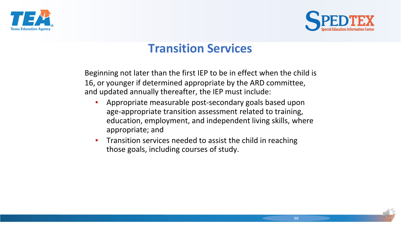



### **Transition Services**

Beginning not later than the first IEP to be in effect when the child is 16, or younger if determined appropriate by the ARD committee, and updated annually thereafter, the IEP must include:

- Appropriate measurable post-secondary goals based upon age-appropriate transition assessment related to training, education, employment, and independent living skills, where appropriate; and
- **•** Transition services needed to assist the child in reaching those goals, including courses of study.

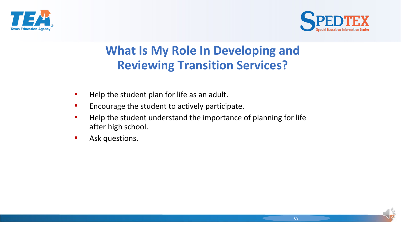



# **What Is My Role In Developing and Reviewing Transition Services?**

- Help the student plan for life as an adult.
- **EXECUTE:** Encourage the student to actively participate.
- Help the student understand the importance of planning for life after high school.
- **E** Ask questions.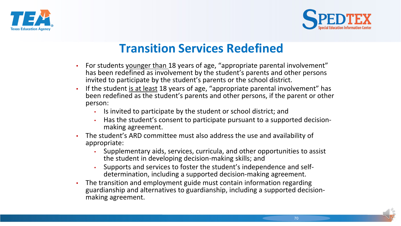



### **Transition Services Redefined**

- For students younger than 18 years of age, "appropriate parental involvement" has been redefined as involvement by the student's parents and other persons invited to participate by the student's parents or the school district.
- If the student is at least 18 years of age, "appropriate parental involvement" has been redefined as the student's parents and other persons, if the parent or other person:
	- Is invited to participate by the student or school district; and
	- Has the student's consent to participate pursuant to a supported decision-<br>making agreement.
- The student's ARD committee must also address the use and availability of appropriate:
	- Supplementary aids, services, curricula, and other opportunities to assist the student in developing decision-making skills; and
	- Supports and services to foster the student's independence and self-<br>determination, including a supported decision-making agreement.
- The transition and employment guide must contain information regarding guardianship and alternatives to guardianship, including a supported decision- making agreement.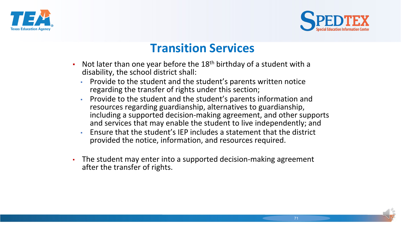



### **Transition Services**

- **•** Not later than one year before the  $18<sup>th</sup>$  birthday of a student with a disability, the school district shall:
	- Provide to the student and the student's parents written notice regarding the transfer of rights under this section;
	- Provide to the student and the student's parents information and resources regarding guardianship, alternatives to guardianship, including a supported decision-making agreement, and other supports and services that may enable the student to live independently; and
	- Ensure that the student's IEP includes a statement that the district provided the notice, information, and resources required.
- The student may enter into a supported decision-making agreement after the transfer of rights.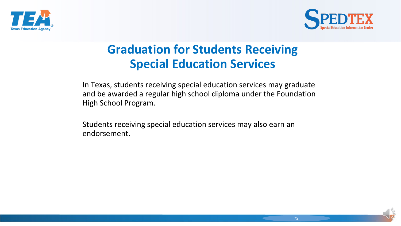



# **Graduation for Students Receiving Special Education Services**

In Texas, students receiving special education services may graduate and be awarded a regular high school diploma under the Foundation High School Program.

Students receiving special education services may also earn an endorsement.

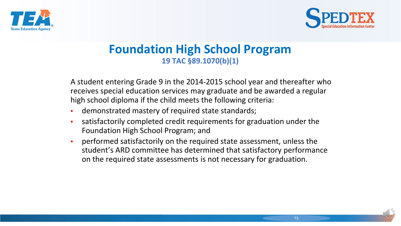



#### **Foundation High School Program 19 TAC §89.1070(b)(1)**

A student entering Grade 9 in the 2014-2015 school year and thereafter who receives special education services may graduate and be awarded a regular high school diploma if the child meets the following criteria:

- **EXED** demonstrated mastery of required state standards;
- satisfactorily completed credit requirements for graduation under the Foundation High School Program; and
- performed satisfactorily on the required state assessment, unless the student's ARD committee has determined that satisfactory performance on the required state assessments is not necessary for graduation.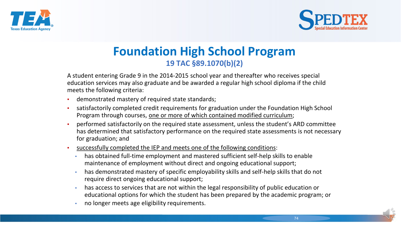



#### **Foundation High School Program 19 TAC §89.1070(b)(2)**

A student entering Grade 9 in the 2014-2015 school year and thereafter who receives special education services may also graduate and be awarded a regular high school diploma if the child meets the following criteria:

- demonstrated mastery of required state standards;
- **•** satisfactorily completed credit requirements for graduation under the Foundation High School Program through courses, one or more of which contained modified curriculum;
- performed satisfactorily on the required state assessment, unless the student's ARD committee has determined that satisfactory performance on the required state assessments is not necessary for graduation; and
- successfully completed the IEP and meets one of the following conditions:
	- has obtained full-time employment and mastered sufficient self-help skills to enable maintenance of employment without direct and ongoing educational support;
	- has demonstrated mastery of specific employability skills and self-help skills that do not require direct ongoing educational support;
	- has access to services that are not within the legal responsibility of public education or educational options for which the student has been prepared by the academic program; or
	- no longer meets age eligibility requirements.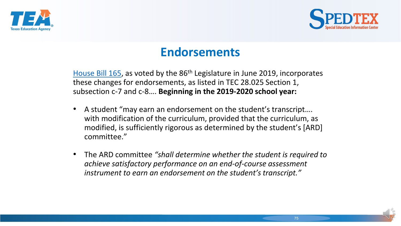



#### **Endorsements**

[House Bill 165,](https://legiscan.com/TX/text/HB165/id/2023916) as voted by the 86th Legislature in June 2019, incorporates these changes for endorsements, as listed in TEC 28.025 Section 1, subsection c-7 and c-8…. **Beginning in the 2019-2020 school year:**

- A student "may earn an endorsement on the student's transcript…. with modification of the curriculum, provided that the curriculum, as modified, is sufficiently rigorous as determined by the student's [ARD] committee."
- The ARD committee *"shall determine whether the student is required to achieve satisfactory performance on an end-of-course assessment instrument to earn an endorsement on the student's transcript."*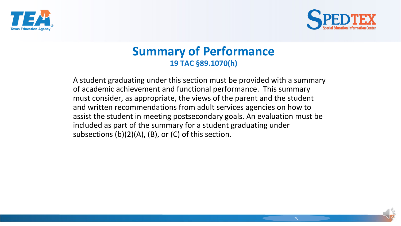



#### **Summary of Performance 19 TAC §89.1070(h)**

A student graduating under this section must be provided with a summary of academic achievement and functional performance. This summary must consider, as appropriate, the views of the parent and the student and written recommendations from adult services agencies on how to assist the student in meeting postsecondary goals. An evaluation must be included as part of the summary for a student graduating under subsections (b)(2)(A), (B), or (C) of this section.

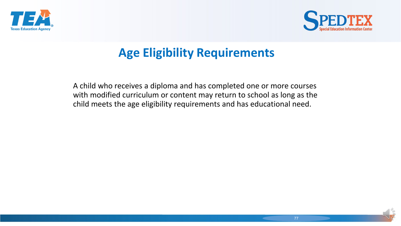



### **Age Eligibility Requirements**

A child who receives a diploma and has completed one or more courses with modified curriculum or content may return to school as long as the child meets the age eligibility requirements and has educational need.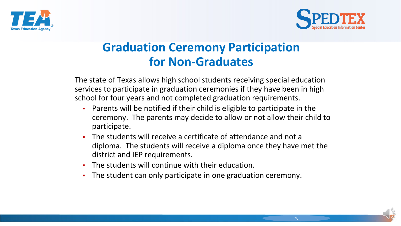



## **Graduation Ceremony Participation for Non-Graduates**

The state of Texas allows high school students receiving special education services to participate in graduation ceremonies if they have been in high school for four years and not completed graduation requirements.

- Parents will be notified if their child is eligible to participate in the ceremony. The parents may decide to allow or not allow their child to participate.
- The students will receive a certificate of attendance and not a diploma. The students will receive a diploma once they have met the district and IEP requirements.
- The students will continue with their education.
- The student can only participate in one graduation ceremony.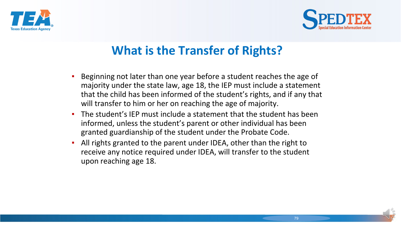



# **What is the Transfer of Rights?**

- Beginning not later than one year before a student reaches the age of majority under the state law, age 18, the IEP must include a statement that the child has been informed of the student's rights, and if any that will transfer to him or her on reaching the age of majority.
- The student's IEP must include a statement that the student has been informed, unless the student's parent or other individual has been granted guardianship of the student under the Probate Code.
- All rights granted to the parent under IDEA, other than the right to receive any notice required under IDEA, will transfer to the student upon reaching age 18.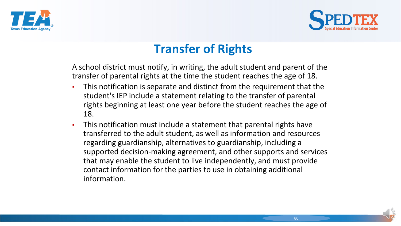



## **Transfer of Rights**

A school district must notify, in writing, the adult student and parent of the transfer of parental rights at the time the student reaches the age of 18.

- This notification is separate and distinct from the requirement that the student's IEP include a statement relating to the transfer of parental rights beginning at least one year before the student reaches the age of 18.
- **•** This notification must include a statement that parental rights have transferred to the adult student, as well as information and resources regarding guardianship, alternatives to guardianship, including a supported decision-making agreement, and other supports and services that may enable the student to live independently, and must provide contact information for the parties to use in obtaining additional information.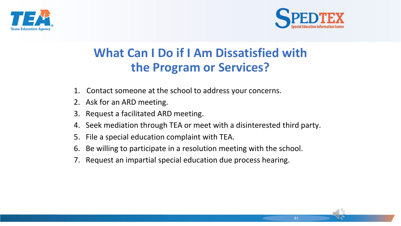



## **What Can I Do if I Am Dissatisfied with the Program or Services?**

- 1. Contact someone at the school to address your concerns.
- 2. Ask for an ARD meeting.
- 3. Request a facilitated ARD meeting.
- 4. Seek mediation through TEA or meet with a disinterested third party.
- 5. File a special education complaint with TEA.
- 6. Be willing to participate in a resolution meeting with the school.
- 7. Request an impartial special education due process hearing.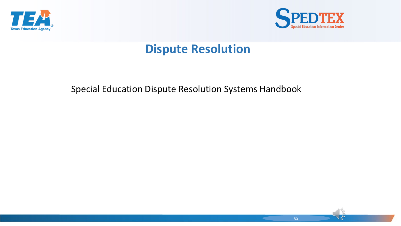



#### **Dispute Resolution**

#### Special Education Dispute Resolution Systems Handbook

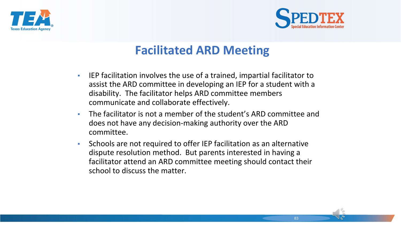



## **Facilitated ARD Meeting**

- IEP facilitation involves the use of a trained, impartial facilitator to assist the ARD committee in developing an IEP for a student with a disability. The facilitator helps ARD committee members communicate and collaborate effectively.
- The facilitator is not a member of the student's ARD committee and does not have any decision-making authority over the ARD committee.
- Schools are not required to offer IEP facilitation as an alternative dispute resolution method. But parents interested in having a facilitator attend an ARD committee meeting should contact their school to discuss the matter.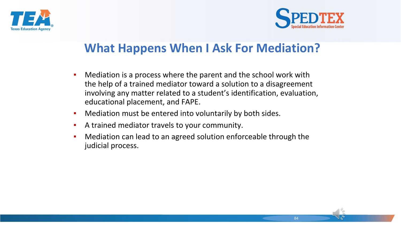



## **What Happens When I Ask For Mediation?**

- Mediation is a process where the parent and the school work with the help of a trained mediator toward a solution to a disagreement involving any matter related to a student's identification, evaluation, educational placement, and FAPE.
- Mediation must be entered into voluntarily by both sides.
- A trained mediator travels to your community.
- Mediation can lead to an agreed solution enforceable through the judicial process.

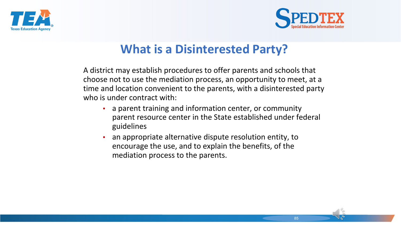



## **What is a Disinterested Party?**

A district may establish procedures to offer parents and schools that choose not to use the mediation process, an opportunity to meet, at a time and location convenient to the parents, with a disinterested party who is under contract with:

- **EXED 10 a** parent training and information center, or community parent resource center in the State established under federal guidelines
- an appropriate alternative dispute resolution entity, to encourage the use, and to explain the benefits, of the mediation process to the parents.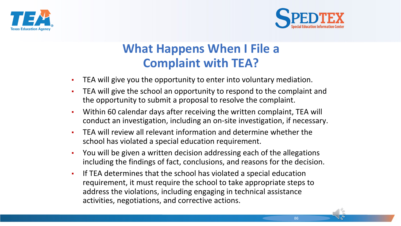



## **What Happens When I File a Complaint with TEA?**

- TEA will give you the opportunity to enter into voluntary mediation.
- TEA will give the school an opportunity to respond to the complaint and the opportunity to submit a proposal to resolve the complaint.
- Within 60 calendar days after receiving the written complaint, TEA will conduct an investigation, including an on-site investigation, if necessary.
- **TEA will review all relevant information and determine whether the** school has violated a special education requirement.
- You will be given a written decision addressing each of the allegations including the findings of fact, conclusions, and reasons for the decision.
- **If TEA determines that the school has violated a special education** requirement, it must require the school to take appropriate steps to address the violations, including engaging in technical assistance activities, negotiations, and corrective actions.

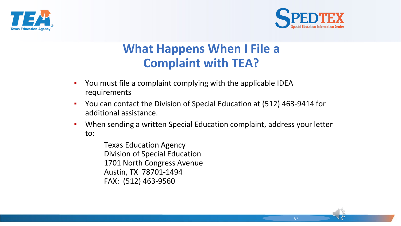



## **What Happens When I File a Complaint with TEA?**

- You must file a complaint complying with the applicable IDEA requirements
- You can contact the Division of Special Education at (512) 463-9414 for additional assistance.
- When sending a written Special Education complaint, address your letter to:

Texas Education Agency Division of Special Education 1701 North Congress Avenue Austin, TX 78701-1494 FAX: (512) 463-9560

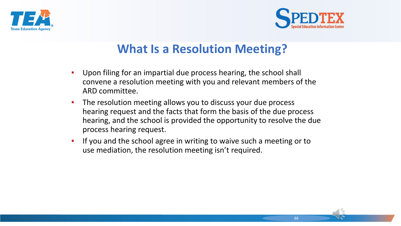



#### **What Is a Resolution Meeting?**

- **.** Upon filing for an impartial due process hearing, the school shall convene a resolution meeting with you and relevant members of the ARD committee.
- **•** The resolution meeting allows you to discuss your due process hearing request and the facts that form the basis of the due process hearing, and the school is provided the opportunity to resolve the due process hearing request.
- **•** If you and the school agree in writing to waive such a meeting or to use mediation, the resolution meeting isn't required.

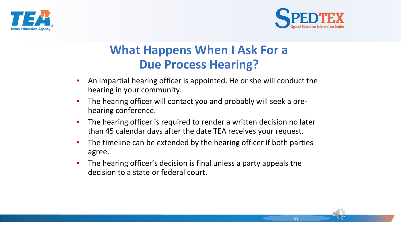



### **What Happens When I Ask For a Due Process Hearing?**

- An impartial hearing officer is appointed. He or she will conduct the hearing in your community.
- The hearing officer will contact you and probably will seek a prehearing conference.
- The hearing officer is required to render a written decision no later than 45 calendar days after the date TEA receives your request.
- The timeline can be extended by the hearing officer if both parties agree.
- **•** The hearing officer's decision is final unless a party appeals the decision to a state or federal court.

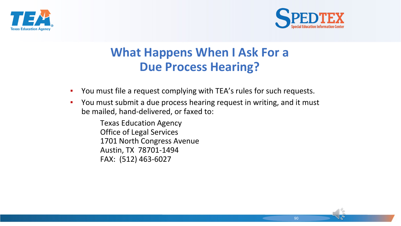



#### **What Happens When I Ask For a Due Process Hearing?**

- You must file a request complying with TEA's rules for such requests.
- You must submit a due process hearing request in writing, and it must be mailed, hand-delivered, or faxed to:

Texas Education Agency Office of Legal Services 1701 North Congress Avenue Austin, TX 78701-1494 FAX: (512) 463-6027

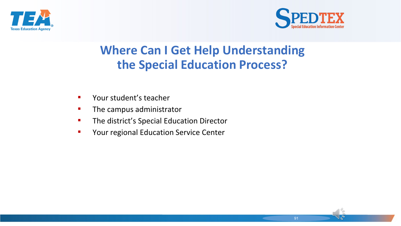



## **Where Can I Get Help Understanding the Special Education Process?**

- Your student's teacher
- **•** The campus administrator
- **·** The district's Special Education Director
- Your regional Education Service Center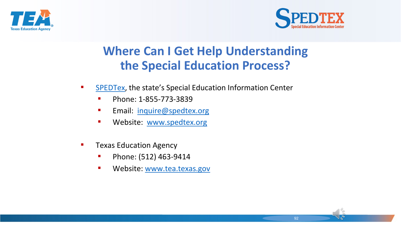



## **Where Can I Get Help Understanding the Special Education Process?**

- [SPEDTex](http://www.spedtex.org/), the state's Special Education Information Center
	- Phone: 1-855-773-3839
	- **Email: [inquire@spedtex.org](mailto:inquire@spedtex.org)**
	- **■** Website: [www.spedtex.org](http://www.spedtex.org/)
- **EXALUARE TEXAL EXALUATE:** Texas Education Agency
	- Phone: (512) 463-9414
	- **■** Website: [www.tea.texas.gov](http://www.tea.texas.gov/)